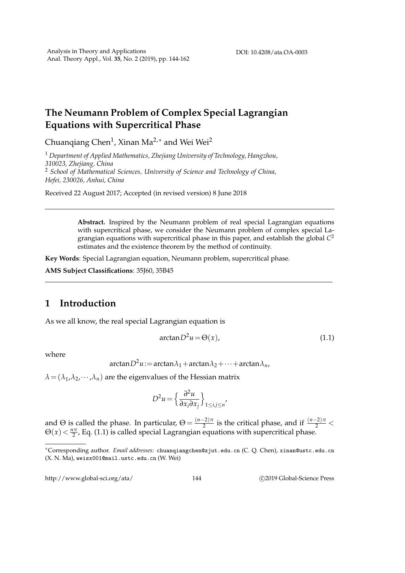## **The Neumann Problem of Complex Special Lagrangian Equations with Supercritical Phase**

Chuanqiang Chen $^1$ , Xinan Ma $^{2,*}$  and Wei Wei $^2$ 

<sup>1</sup> *Department of Applied Mathematics, Zhejiang University of Technology, Hangzhou, 310023, Zhejiang, China* <sup>2</sup> *School of Mathematical Sciences, University of Science and Technology of China, Hefei, 230026, Anhui, China*

Received 22 August 2017; Accepted (in revised version) 8 June 2018

**Abstract.** Inspired by the Neumann problem of real special Lagrangian equations with supercritical phase, we consider the Neumann problem of complex special Lagrangian equations with supercritical phase in this paper, and establish the global *C* 2 estimates and the existence theorem by the method of continuity.

**Key Words**: Special Lagrangian equation, Neumann problem, supercritical phase.

**AMS Subject Classifications**: 35J60, 35B45

## **1 Introduction**

As we all know, the real special Lagrangian equation is

$$
\arctan D^2 u = \Theta(x),\tag{1.1}
$$

where

$$
\arctan D^2 u := \arctan \lambda_1 + \arctan \lambda_2 + \dots + \arctan \lambda_n,
$$

 $\lambda = (\lambda_1, \lambda_2, \cdots, \lambda_n)$  are the eigenvalues of the Hessian matrix

$$
D^2 u = \left\{ \frac{\partial^2 u}{\partial x_i \partial x_j} \right\}_{1 \le i,j \le n'}
$$

and  $\Theta$  is called the phase. In particular,  $\Theta = \frac{(n-2)\pi}{2}$  $\frac{(-2)\pi}{2}$  is the critical phase, and if  $\frac{(n-2)\pi}{2}$  <  $\Theta(x) < \frac{n\pi}{2}$ , Eq. (1.1) is called special Lagrangian equations with supercritical phase.

http://www.global-sci.org/ata/ 144 ©2019 Global-Science Press

<sup>∗</sup>Corresponding author. *Email addresses:* chuanqiangchen@zjut.edu.cn (C. Q. Chen), xinan@ustc.edu.cn (X. N. Ma), weisx001@mail.ustc.edu.cn (W. Wei)